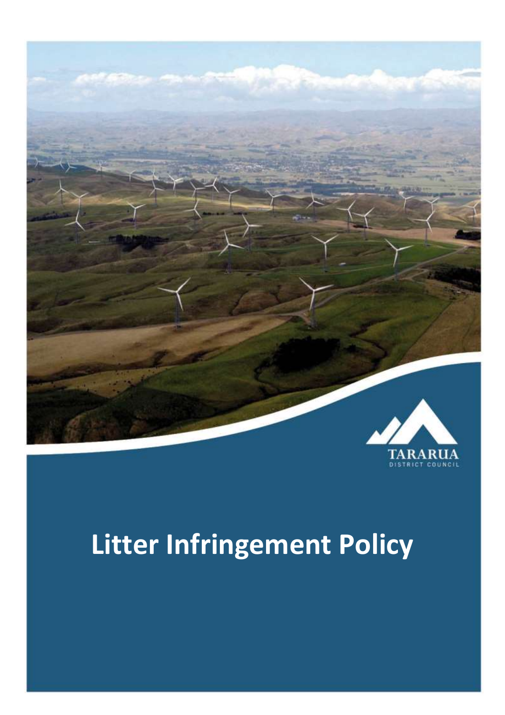

# **Litter Infringement Policy**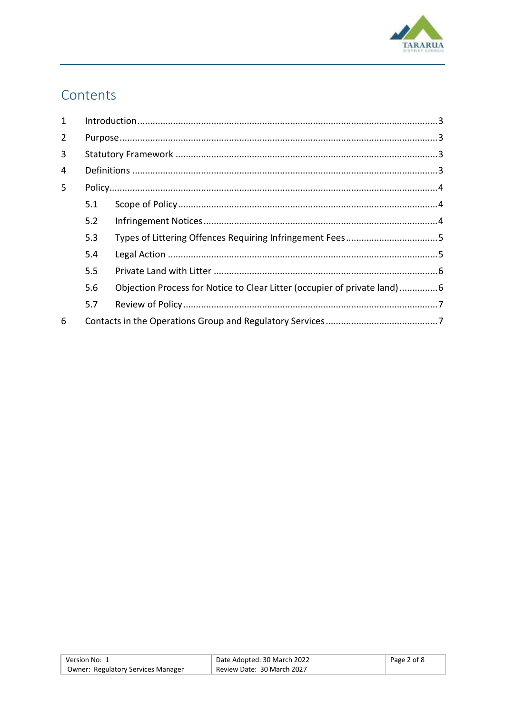

# Contents

| Types of Littering Offences Requiring Infringement Fees5                 |
|--------------------------------------------------------------------------|
|                                                                          |
|                                                                          |
| Objection Process for Notice to Clear Litter (occupier of private land)6 |
|                                                                          |
|                                                                          |
|                                                                          |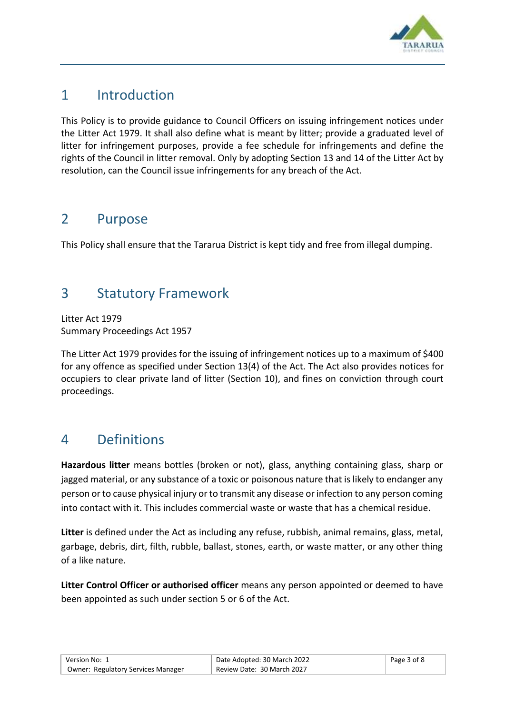

# <span id="page-2-0"></span>1 Introduction

This Policy is to provide guidance to Council Officers on issuing infringement notices under the Litter Act 1979. It shall also define what is meant by litter; provide a graduated level of litter for infringement purposes, provide a fee schedule for infringements and define the rights of the Council in litter removal. Only by adopting Section 13 and 14 of the Litter Act by resolution, can the Council issue infringements for any breach of the Act.

# <span id="page-2-1"></span>2 Purpose

This Policy shall ensure that the Tararua District is kept tidy and free from illegal dumping.

# <span id="page-2-2"></span>3 Statutory Framework

Litter Act 1979 Summary Proceedings Act 1957

The Litter Act 1979 provides for the issuing of infringement notices up to a maximum of \$400 for any offence as specified under Section 13(4) of the Act. The Act also provides notices for occupiers to clear private land of litter (Section 10), and fines on conviction through court proceedings.

# <span id="page-2-3"></span>4 Definitions

**Hazardous litter** means bottles (broken or not), glass, anything containing glass, sharp or jagged material, or any substance of a toxic or poisonous nature that is likely to endanger any person or to cause physical injury or to transmit any disease or infection to any person coming into contact with it. This includes commercial waste or waste that has a chemical residue.

**Litter** is defined under the Act as including any refuse, rubbish, animal remains, glass, metal, garbage, debris, dirt, filth, rubble, ballast, stones, earth, or waste matter, or any other thing of a like nature.

**Litter Control Officer or authorised officer** means any person appointed or deemed to have been appointed as such under section 5 or 6 of the Act.

| Version No: 1                             | Date Adopted: 30 March 2022 | Page 3 of 8 |
|-------------------------------------------|-----------------------------|-------------|
| <b>Owner: Regulatory Services Manager</b> | Review Date: 30 March 2027  |             |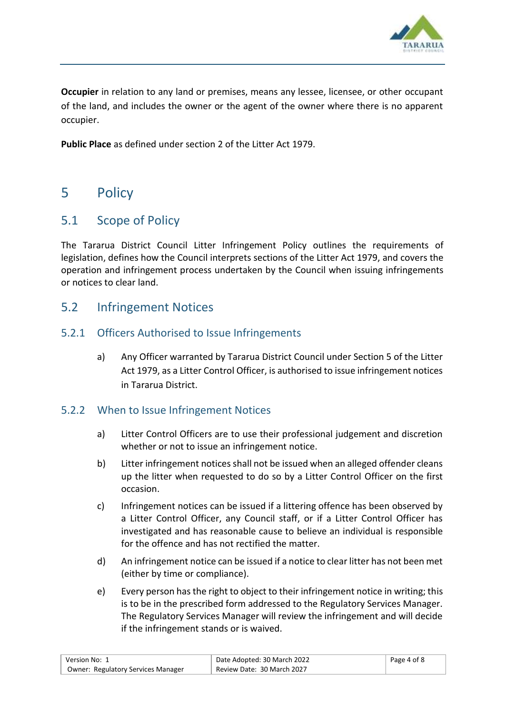

**Occupier** in relation to any land or premises, means any lessee, licensee, or other occupant of the land, and includes the owner or the agent of the owner where there is no apparent occupier.

**Public Place** as defined under section 2 of the Litter Act 1979.

# <span id="page-3-0"></span>5 Policy

## <span id="page-3-1"></span>5.1 Scope of Policy

The Tararua District Council Litter Infringement Policy outlines the requirements of legislation, defines how the Council interprets sections of the Litter Act 1979, and covers the operation and infringement process undertaken by the Council when issuing infringements or notices to clear land.

### <span id="page-3-2"></span>5.2 Infringement Notices

#### 5.2.1 Officers Authorised to Issue Infringements

a) Any Officer warranted by Tararua District Council under Section 5 of the Litter Act 1979, as a Litter Control Officer, is authorised to issue infringement notices in Tararua District.

#### 5.2.2 When to Issue Infringement Notices

- a) Litter Control Officers are to use their professional judgement and discretion whether or not to issue an infringement notice.
- b) Litter infringement notices shall not be issued when an alleged offender cleans up the litter when requested to do so by a Litter Control Officer on the first occasion.
- c) Infringement notices can be issued if a littering offence has been observed by a Litter Control Officer, any Council staff, or if a Litter Control Officer has investigated and has reasonable cause to believe an individual is responsible for the offence and has not rectified the matter.
- d) An infringement notice can be issued if a notice to clear litter has not been met (either by time or compliance).
- e) Every person has the right to object to their infringement notice in writing; this is to be in the prescribed form addressed to the Regulatory Services Manager. The Regulatory Services Manager will review the infringement and will decide if the infringement stands or is waived.

| Version No: 1                             | Date Adopted: 30 March 2022 | Page 4 of 8 |
|-------------------------------------------|-----------------------------|-------------|
| <b>Owner: Regulatory Services Manager</b> | Review Date: 30 March 2027  |             |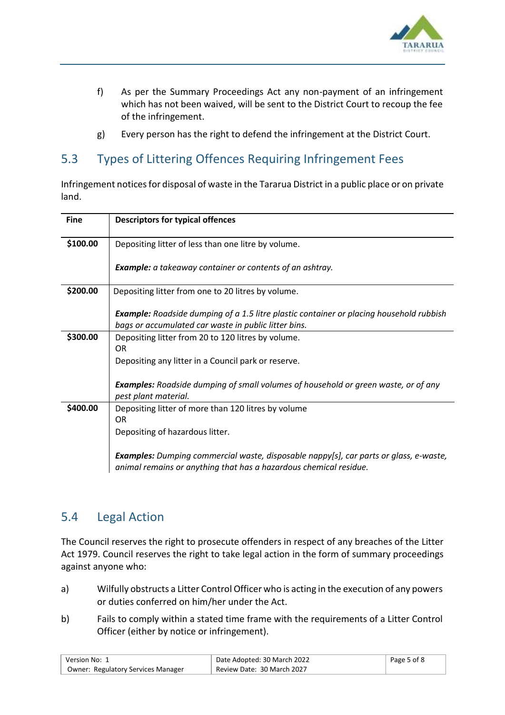

- f) As per the Summary Proceedings Act any non-payment of an infringement which has not been waived, will be sent to the District Court to recoup the fee of the infringement.
- g) Every person has the right to defend the infringement at the District Court.

# <span id="page-4-0"></span>5.3 Types of Littering Offences Requiring Infringement Fees

Infringement notices for disposal of waste in the Tararua District in a public place or on private land.

| <b>Fine</b> | <b>Descriptors for typical offences</b>                                                                                                                           |
|-------------|-------------------------------------------------------------------------------------------------------------------------------------------------------------------|
| \$100.00    | Depositing litter of less than one litre by volume.                                                                                                               |
|             | Example: a takeaway container or contents of an ashtray.                                                                                                          |
| \$200.00    | Depositing litter from one to 20 litres by volume.                                                                                                                |
|             | <b>Example:</b> Roadside dumping of a 1.5 litre plastic container or placing household rubbish<br>bags or accumulated car waste in public litter bins.            |
| \$300.00    | Depositing litter from 20 to 120 litres by volume.<br><b>OR</b>                                                                                                   |
|             | Depositing any litter in a Council park or reserve.                                                                                                               |
|             | <b>Examples:</b> Roadside dumping of small volumes of household or green waste, or of any<br>pest plant material.                                                 |
| \$400.00    | Depositing litter of more than 120 litres by volume                                                                                                               |
|             | 0R<br>Depositing of hazardous litter.                                                                                                                             |
|             |                                                                                                                                                                   |
|             | <b>Examples:</b> Dumping commercial waste, disposable nappy[s], car parts or glass, e-waste,<br>animal remains or anything that has a hazardous chemical residue. |

## <span id="page-4-1"></span>5.4 Legal Action

The Council reserves the right to prosecute offenders in respect of any breaches of the Litter Act 1979. Council reserves the right to take legal action in the form of summary proceedings against anyone who:

- a) Wilfully obstructs a Litter Control Officer who is acting in the execution of any powers or duties conferred on him/her under the Act.
- b) Fails to comply within a stated time frame with the requirements of a Litter Control Officer (either by notice or infringement).

| Version No: 1                             | Date Adopted: 30 March 2022 | Page 5 of 8 |
|-------------------------------------------|-----------------------------|-------------|
| <b>Owner: Regulatory Services Manager</b> | Review Date: 30 March 2027  |             |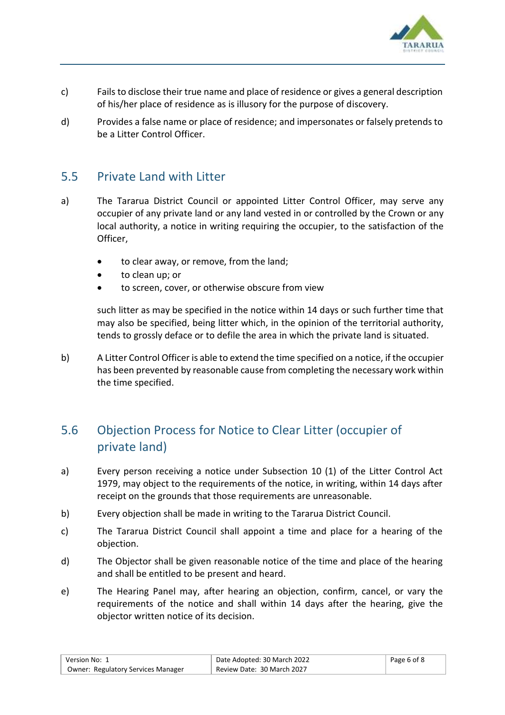

- c) Fails to disclose their true name and place of residence or gives a general description of his/her place of residence as is illusory for the purpose of discovery.
- d) Provides a false name or place of residence; and impersonates or falsely pretends to be a Litter Control Officer.

#### <span id="page-5-0"></span>5.5 Private Land with Litter

- a) The Tararua District Council or appointed Litter Control Officer, may serve any occupier of any private land or any land vested in or controlled by the Crown or any local authority, a notice in writing requiring the occupier, to the satisfaction of the Officer,
	- to clear away, or remove, from the land;
	- to clean up; or
	- to screen, cover, or otherwise obscure from view

such litter as may be specified in the notice within 14 days or such further time that may also be specified, being litter which, in the opinion of the territorial authority, tends to grossly deface or to defile the area in which the private land is situated.

b) A Litter Control Officer is able to extend the time specified on a notice, if the occupier has been prevented by reasonable cause from completing the necessary work within the time specified.

## <span id="page-5-1"></span>5.6 Objection Process for Notice to Clear Litter (occupier of private land)

- a) Every person receiving a notice under Subsection 10 (1) of the Litter Control Act 1979, may object to the requirements of the notice, in writing, within 14 days after receipt on the grounds that those requirements are unreasonable.
- b) Every objection shall be made in writing to the Tararua District Council.
- c) The Tararua District Council shall appoint a time and place for a hearing of the objection.
- d) The Objector shall be given reasonable notice of the time and place of the hearing and shall be entitled to be present and heard.
- e) The Hearing Panel may, after hearing an objection, confirm, cancel, or vary the requirements of the notice and shall within 14 days after the hearing, give the objector written notice of its decision.

| ์ Version No: 1                           | Date Adopted: 30 March 2022 | Page 6 of 8 |
|-------------------------------------------|-----------------------------|-------------|
| <b>Owner: Regulatory Services Manager</b> | Review Date: 30 March 2027  |             |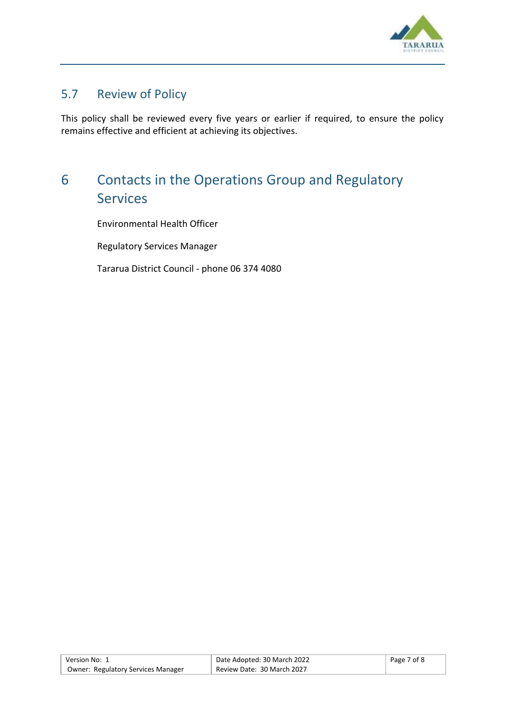

## <span id="page-6-0"></span>5.7 Review of Policy

This policy shall be reviewed every five years or earlier if required, to ensure the policy remains effective and efficient at achieving its objectives.

# <span id="page-6-1"></span>6 Contacts in the Operations Group and Regulatory Services

Environmental Health Officer

Regulatory Services Manager

Tararua District Council - phone 06 374 4080